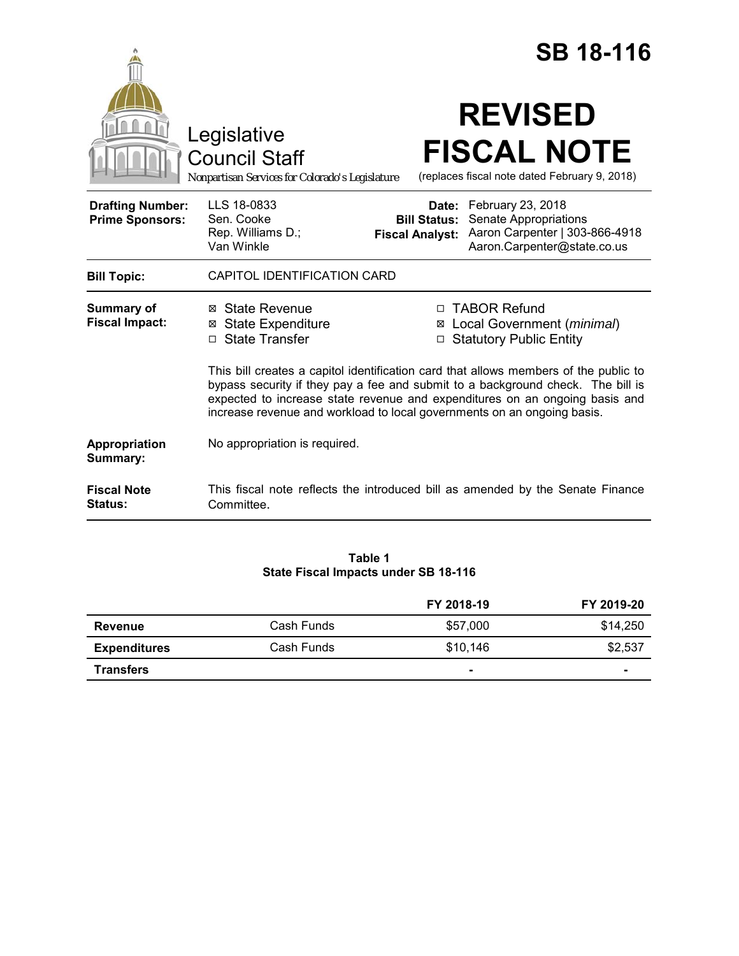|                                                   |                                                                                                                                                                                                                                                                                                                                   |                                               | <b>SB 18-116</b>                                                                                                  |
|---------------------------------------------------|-----------------------------------------------------------------------------------------------------------------------------------------------------------------------------------------------------------------------------------------------------------------------------------------------------------------------------------|-----------------------------------------------|-------------------------------------------------------------------------------------------------------------------|
|                                                   | Legislative<br><b>Council Staff</b><br>Nonpartisan Services for Colorado's Legislature                                                                                                                                                                                                                                            |                                               | <b>REVISED</b><br><b>FISCAL NOTE</b><br>(replaces fiscal note dated February 9, 2018)                             |
| <b>Drafting Number:</b><br><b>Prime Sponsors:</b> | LLS 18-0833<br>Sen. Cooke<br>Rep. Williams D.;<br>Van Winkle                                                                                                                                                                                                                                                                      | <b>Bill Status:</b><br><b>Fiscal Analyst:</b> | Date: February 23, 2018<br>Senate Appropriations<br>Aaron Carpenter   303-866-4918<br>Aaron.Carpenter@state.co.us |
| <b>Bill Topic:</b>                                | CAPITOL IDENTIFICATION CARD                                                                                                                                                                                                                                                                                                       |                                               |                                                                                                                   |
| Summary of<br><b>Fiscal Impact:</b>               | ⊠ State Revenue<br><b>State Expenditure</b><br>X<br><b>State Transfer</b><br>П.                                                                                                                                                                                                                                                   | п<br>⊠<br>$\Box$                              | <b>TABOR Refund</b><br>Local Government (minimal)<br><b>Statutory Public Entity</b>                               |
|                                                   | This bill creates a capitol identification card that allows members of the public to<br>bypass security if they pay a fee and submit to a background check. The bill is<br>expected to increase state revenue and expenditures on an ongoing basis and<br>increase revenue and workload to local governments on an ongoing basis. |                                               |                                                                                                                   |
| Appropriation<br>Summary:                         | No appropriation is required.                                                                                                                                                                                                                                                                                                     |                                               |                                                                                                                   |
| <b>Fiscal Note</b><br>Status:                     | Committee.                                                                                                                                                                                                                                                                                                                        |                                               | This fiscal note reflects the introduced bill as amended by the Senate Finance                                    |

## **Table 1 State Fiscal Impacts under SB 18-116**

|                     |            | FY 2018-19 | FY 2019-20     |
|---------------------|------------|------------|----------------|
| Revenue             | Cash Funds | \$57,000   | \$14.250       |
| <b>Expenditures</b> | Cash Funds | \$10.146   | \$2,537        |
| <b>Transfers</b>    |            |            | $\blacksquare$ |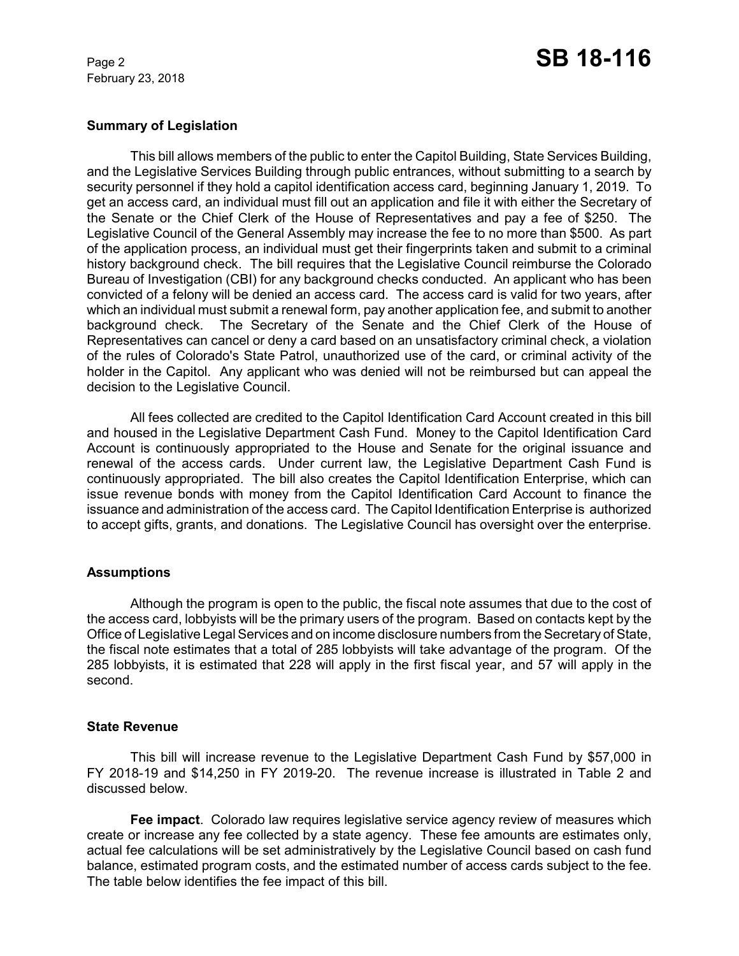February 23, 2018

# Page 2 **SB 18-116**

## **Summary of Legislation**

This bill allows members of the public to enter the Capitol Building, State Services Building, and the Legislative Services Building through public entrances, without submitting to a search by security personnel if they hold a capitol identification access card, beginning January 1, 2019. To get an access card, an individual must fill out an application and file it with either the Secretary of the Senate or the Chief Clerk of the House of Representatives and pay a fee of \$250. The Legislative Council of the General Assembly may increase the fee to no more than \$500. As part of the application process, an individual must get their fingerprints taken and submit to a criminal history background check. The bill requires that the Legislative Council reimburse the Colorado Bureau of Investigation (CBI) for any background checks conducted. An applicant who has been convicted of a felony will be denied an access card. The access card is valid for two years, after which an individual must submit a renewal form, pay another application fee, and submit to another background check. The Secretary of the Senate and the Chief Clerk of the House of Representatives can cancel or deny a card based on an unsatisfactory criminal check, a violation of the rules of Colorado's State Patrol, unauthorized use of the card, or criminal activity of the holder in the Capitol. Any applicant who was denied will not be reimbursed but can appeal the decision to the Legislative Council.

All fees collected are credited to the Capitol Identification Card Account created in this bill and housed in the Legislative Department Cash Fund. Money to the Capitol Identification Card Account is continuously appropriated to the House and Senate for the original issuance and renewal of the access cards. Under current law, the Legislative Department Cash Fund is continuously appropriated. The bill also creates the Capitol Identification Enterprise, which can issue revenue bonds with money from the Capitol Identification Card Account to finance the issuance and administration of the access card. The Capitol Identification Enterprise is authorized to accept gifts, grants, and donations. The Legislative Council has oversight over the enterprise.

## **Assumptions**

Although the program is open to the public, the fiscal note assumes that due to the cost of the access card, lobbyists will be the primary users of the program. Based on contacts kept by the Office of Legislative Legal Services and on income disclosure numbers from the Secretary of State, the fiscal note estimates that a total of 285 lobbyists will take advantage of the program. Of the 285 lobbyists, it is estimated that 228 will apply in the first fiscal year, and 57 will apply in the second.

## **State Revenue**

This bill will increase revenue to the Legislative Department Cash Fund by \$57,000 in FY 2018-19 and \$14,250 in FY 2019-20. The revenue increase is illustrated in Table 2 and discussed below.

**Fee impact**. Colorado law requires legislative service agency review of measures which create or increase any fee collected by a state agency. These fee amounts are estimates only, actual fee calculations will be set administratively by the Legislative Council based on cash fund balance, estimated program costs, and the estimated number of access cards subject to the fee. The table below identifies the fee impact of this bill.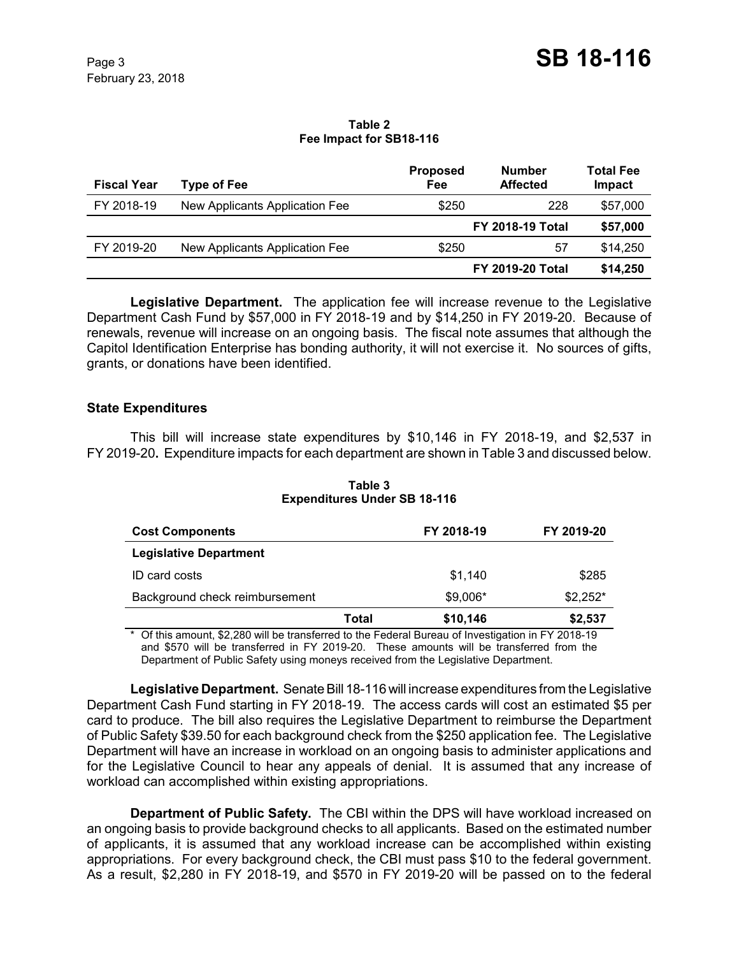#### **Table 2 Fee Impact for SB18-116**

| <b>Fiscal Year</b> | <b>Type of Fee</b>             | <b>Proposed</b><br>Fee | <b>Number</b><br><b>Affected</b> | <b>Total Fee</b><br>Impact |
|--------------------|--------------------------------|------------------------|----------------------------------|----------------------------|
| FY 2018-19         | New Applicants Application Fee | \$250                  | 228                              | \$57,000                   |
|                    |                                |                        | <b>FY 2018-19 Total</b>          | \$57,000                   |
| FY 2019-20         | New Applicants Application Fee | \$250                  | 57                               | \$14,250                   |
|                    |                                |                        | <b>FY 2019-20 Total</b>          | \$14,250                   |

**Legislative Department.** The application fee will increase revenue to the Legislative Department Cash Fund by \$57,000 in FY 2018-19 and by \$14,250 in FY 2019-20. Because of renewals, revenue will increase on an ongoing basis. The fiscal note assumes that although the Capitol Identification Enterprise has bonding authority, it will not exercise it. No sources of gifts, grants, or donations have been identified.

# **State Expenditures**

This bill will increase state expenditures by \$10,146 in FY 2018-19, and \$2,537 in FY 2019-20**.** Expenditure impacts for each department are shown in Table 3 and discussed below.

| <b>Cost Components</b>         |       | FY 2018-19 | FY 2019-20 |
|--------------------------------|-------|------------|------------|
| <b>Legislative Department</b>  |       |            |            |
| ID card costs                  |       | \$1,140    | \$285      |
| Background check reimbursement |       | \$9,006*   | $$2,252*$  |
|                                | Total | \$10,146   | \$2,537    |

**Table 3 Expenditures Under SB 18-116**

\* Of this amount, \$2,280 will be transferred to the Federal Bureau of Investigation in FY 2018-19 and \$570 will be transferred in FY 2019-20. These amounts will be transferred from the Department of Public Safety using moneys received from the Legislative Department.

**Legislative Department.** Senate Bill 18-116 will increase expenditures from the Legislative Department Cash Fund starting in FY 2018-19. The access cards will cost an estimated \$5 per card to produce. The bill also requires the Legislative Department to reimburse the Department of Public Safety \$39.50 for each background check from the \$250 application fee. The Legislative Department will have an increase in workload on an ongoing basis to administer applications and for the Legislative Council to hear any appeals of denial. It is assumed that any increase of workload can accomplished within existing appropriations.

**Department of Public Safety.** The CBI within the DPS will have workload increased on an ongoing basis to provide background checks to all applicants. Based on the estimated number of applicants, it is assumed that any workload increase can be accomplished within existing appropriations. For every background check, the CBI must pass \$10 to the federal government. As a result, \$2,280 in FY 2018-19, and \$570 in FY 2019-20 will be passed on to the federal